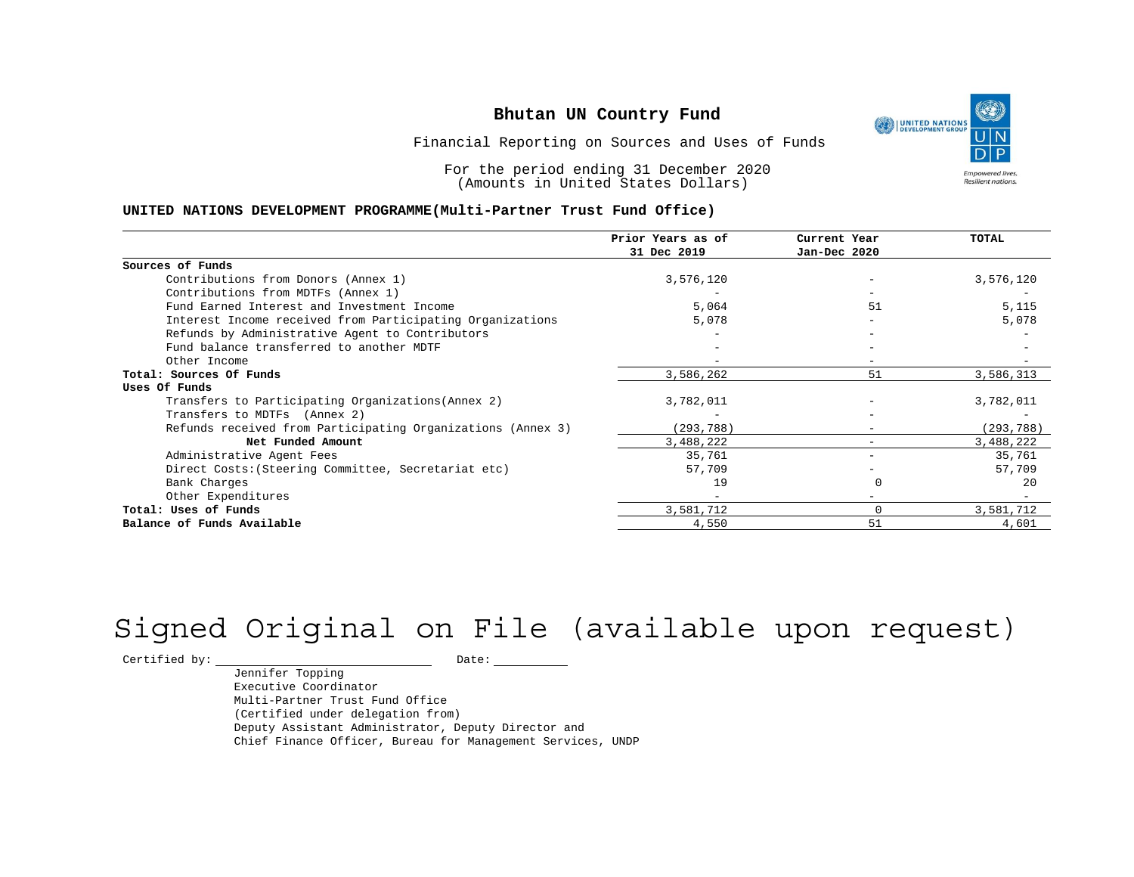UNITED NATIONS **Empowered lives** Resilient nations.

Financial Reporting on Sources and Uses of Funds

For the period ending 31 December 2020 (Amounts in United States Dollars)

#### **UNITED NATIONS DEVELOPMENT PROGRAMME(Multi-Partner Trust Fund Office)**

|                                                             | Prior Years as of | Current Year | <b>TOTAL</b> |
|-------------------------------------------------------------|-------------------|--------------|--------------|
|                                                             | 31 Dec 2019       | Jan-Dec 2020 |              |
| Sources of Funds                                            |                   |              |              |
| Contributions from Donors (Annex 1)                         | 3,576,120         |              | 3,576,120    |
| Contributions from MDTFs (Annex 1)                          |                   |              |              |
| Fund Earned Interest and Investment Income                  | 5,064             | 51           | 5,115        |
| Interest Income received from Participating Organizations   | 5,078             | $-$          | 5,078        |
| Refunds by Administrative Agent to Contributors             |                   |              |              |
| Fund balance transferred to another MDTF                    |                   |              |              |
| Other Income                                                |                   |              |              |
| Total: Sources Of Funds                                     | 3,586,262         | 51           | 3,586,313    |
| Uses Of Funds                                               |                   |              |              |
| Transfers to Participating Organizations (Annex 2)          | 3,782,011         |              | 3,782,011    |
| Transfers to MDTFs (Annex 2)                                |                   |              |              |
| Refunds received from Participating Organizations (Annex 3) | (293,788)         | $-$          | (293, 788)   |
| Net Funded Amount                                           | 3,488,222         | $-$          | 3,488,222    |
| Administrative Agent Fees                                   | 35,761            | $-$          | 35,761       |
| Direct Costs: (Steering Committee, Secretariat etc)         | 57,709            |              | 57,709       |
| Bank Charges                                                | 19                |              | 20           |
| Other Expenditures                                          |                   |              |              |
| Total: Uses of Funds                                        | 3,581,712         | 0            | 3,581,712    |
| Balance of Funds Available                                  | 4,550             | 51           | 4,601        |

# Signed Original on File (available upon request)

 $\begin{tabular}{c} \multicolumn{2}{c}{{\texttt{Certified by:}}}} \quad \quad \texttt{Date:} \end{tabular}$ 

Jennifer Topping Executive Coordinator Multi-Partner Trust Fund Office (Certified under delegation from) Deputy Assistant Administrator, Deputy Director and Chief Finance Officer, Bureau for Management Services, UNDP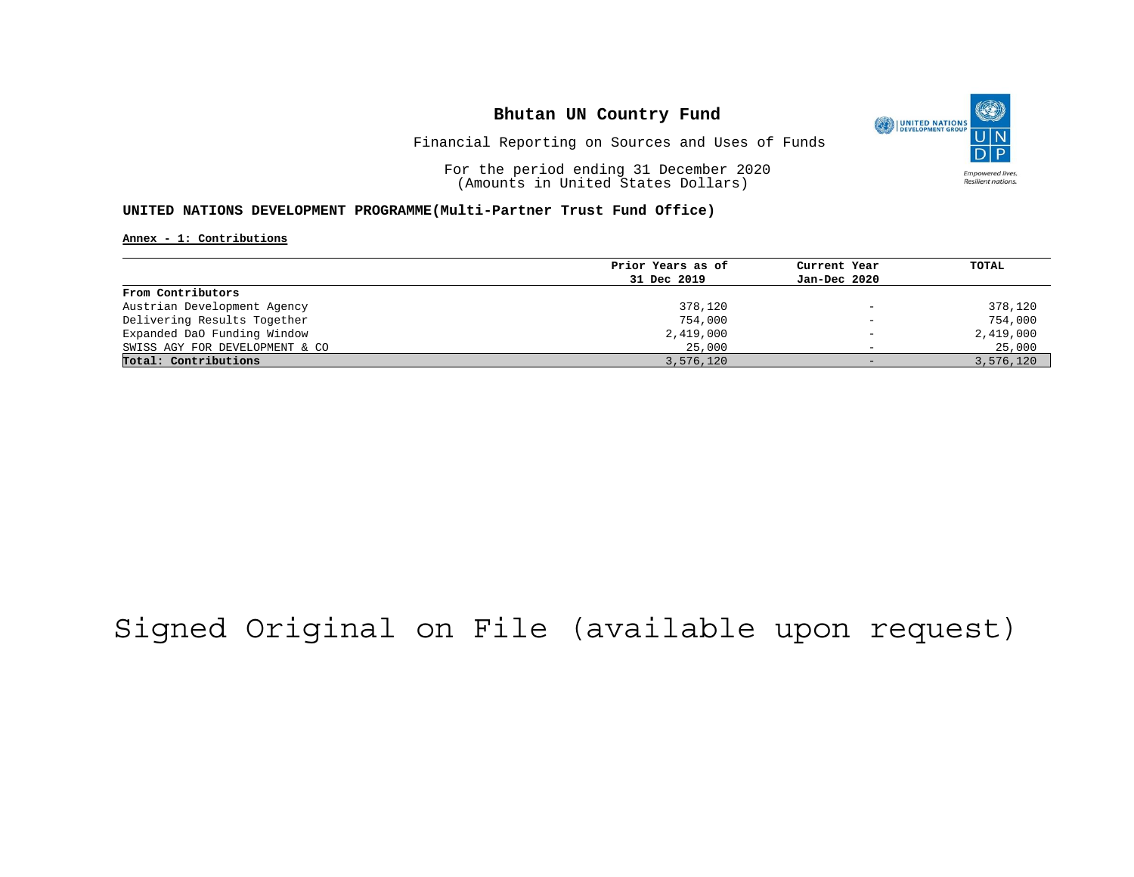

Financial Reporting on Sources and Uses of Funds

For the period ending 31 December 2020 (Amounts in United States Dollars)

#### **UNITED NATIONS DEVELOPMENT PROGRAMME(Multi-Partner Trust Fund Office)**

**Annex - 1: Contributions**

| Prior Years as of | Current Year             | TOTAL     |
|-------------------|--------------------------|-----------|
| 31 Dec 2019       | Jan-Dec 2020             |           |
|                   |                          |           |
| 378,120           | $\overline{\phantom{0}}$ | 378,120   |
| 754,000           | $\qquad \qquad -$        | 754,000   |
| 2,419,000         | $\overline{\phantom{0}}$ | 2,419,000 |
| 25,000            | $\overline{\phantom{0}}$ | 25,000    |
| 3,576,120         | $-$                      | 3,576,120 |
|                   |                          |           |

## Signed Original on File (available upon request)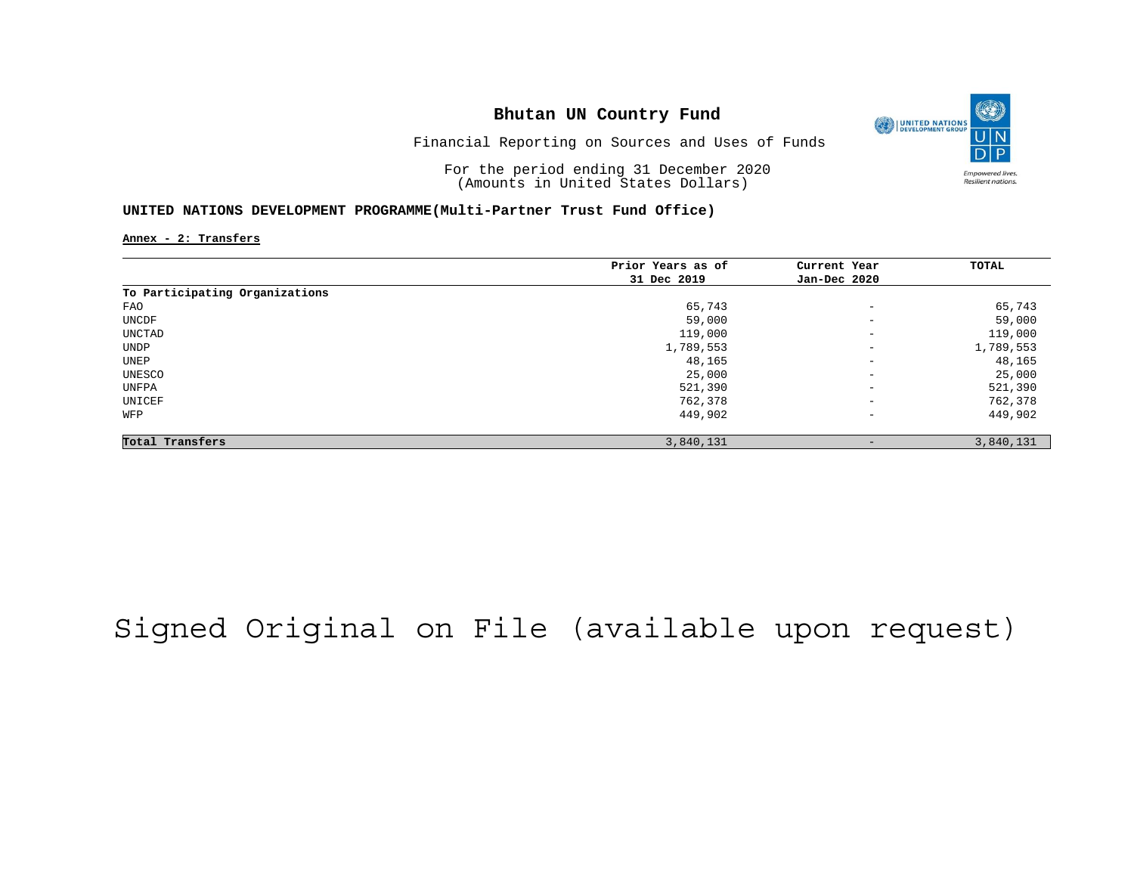

Financial Reporting on Sources and Uses of Funds

For the period ending 31 December 2020 (Amounts in United States Dollars)

#### **UNITED NATIONS DEVELOPMENT PROGRAMME(Multi-Partner Trust Fund Office)**

**Annex - 2: Transfers**

|                                | Prior Years as of | Current Year             | TOTAL     |
|--------------------------------|-------------------|--------------------------|-----------|
|                                | 31 Dec 2019       | Jan-Dec 2020             |           |
| To Participating Organizations |                   |                          |           |
| FAO                            | 65,743            | $\overline{\phantom{m}}$ | 65,743    |
| UNCDF                          | 59,000            | $\overline{\phantom{m}}$ | 59,000    |
| UNCTAD                         | 119,000           | $\overline{\phantom{m}}$ | 119,000   |
| UNDP                           | 1,789,553         | $\overline{\phantom{m}}$ | 1,789,553 |
| UNEP                           | 48,165            | $\overline{\phantom{m}}$ | 48,165    |
| UNESCO                         | 25,000            | $\qquad \qquad -$        | 25,000    |
| UNFPA                          | 521,390           | $\overline{\phantom{m}}$ | 521,390   |
| UNICEF                         | 762,378           | $\overline{\phantom{m}}$ | 762,378   |
| WFP                            | 449,902           | $\overline{\phantom{m}}$ | 449,902   |
| Total Transfers                | 3,840,131         | -                        | 3,840,131 |

## Signed Original on File (available upon request)